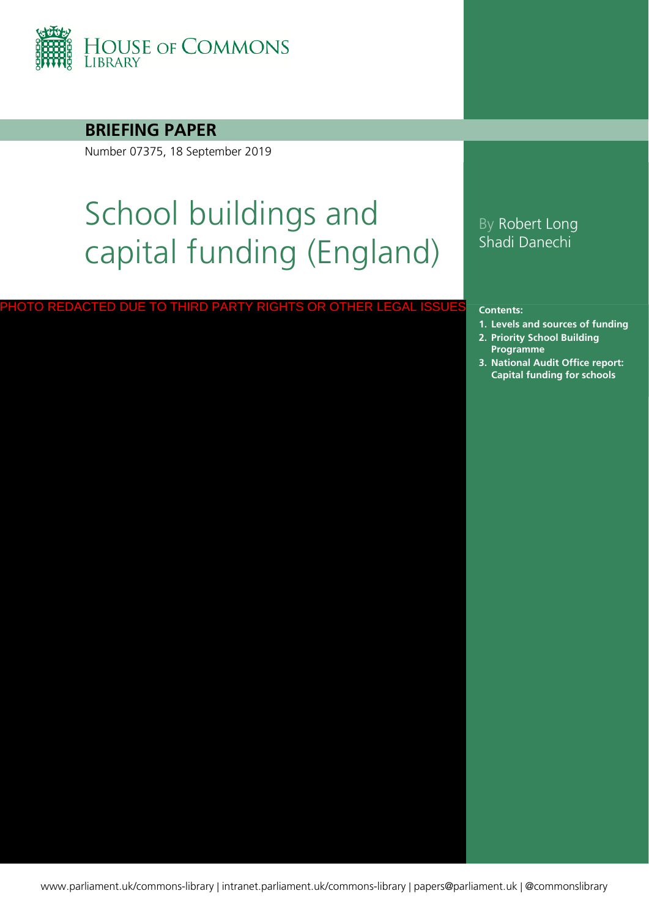

**BRIEFING PAPER**

Number 07375, 18 September 2019

# School buildings and capital funding (England)

#### PHOTO REDACTED DUE TO THIRD PARTY RIGHTS OR OTHER LEGAL ISSUES

### By Robert Long Shadi Danechi

**Contents:**

- **1. [Levels and sources of funding](#page-3-0)**
- **2. [Priority School Building](#page-9-0)  Programme**
- **3. [National Audit Office report:](#page-12-0)  Capital funding for schools**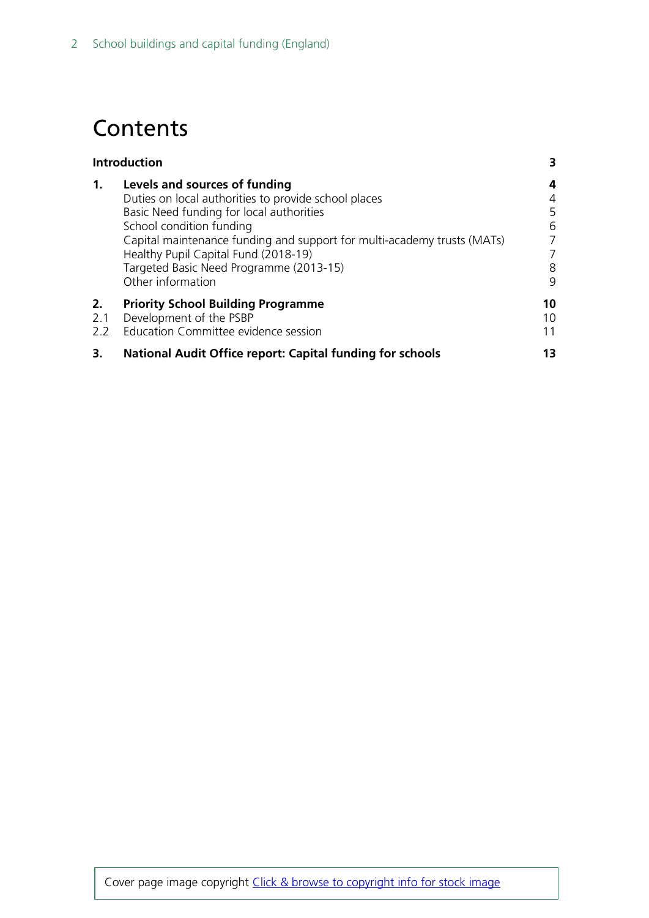# **Contents**

| <b>Introduction</b> |                                                                                                                                                                                                                                                                                                                                                  |                                      |  |
|---------------------|--------------------------------------------------------------------------------------------------------------------------------------------------------------------------------------------------------------------------------------------------------------------------------------------------------------------------------------------------|--------------------------------------|--|
| 1.                  | Levels and sources of funding<br>Duties on local authorities to provide school places<br>Basic Need funding for local authorities<br>School condition funding<br>Capital maintenance funding and support for multi-academy trusts (MATs)<br>Healthy Pupil Capital Fund (2018-19)<br>Targeted Basic Need Programme (2013-15)<br>Other information | 4<br>4<br>5<br>6<br>7<br>7<br>8<br>9 |  |
| 2.<br>2.1<br>2.2    | <b>Priority School Building Programme</b><br>Development of the PSBP<br>Education Committee evidence session                                                                                                                                                                                                                                     | 10<br>10<br>11                       |  |
| 3.                  | <b>National Audit Office report: Capital funding for schools</b>                                                                                                                                                                                                                                                                                 | 13                                   |  |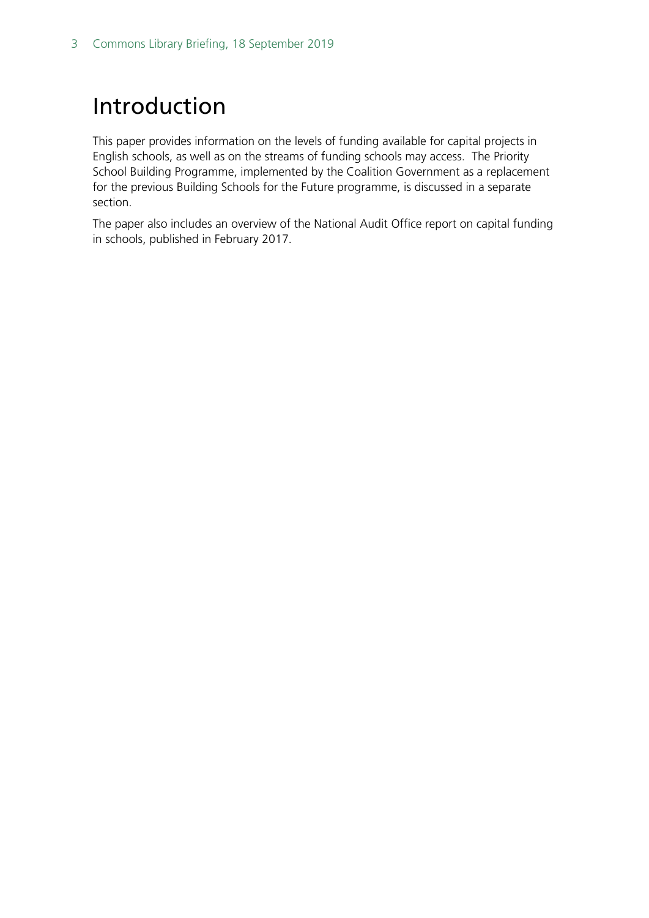# <span id="page-2-0"></span>Introduction

This paper provides information on the levels of funding available for capital projects in English schools, as well as on the streams of funding schools may access. The Priority School Building Programme, implemented by the Coalition Government as a replacement for the previous Building Schools for the Future programme, is discussed in a separate section.

The paper also includes an overview of the National Audit Office report on capital funding in schools, published in February 2017.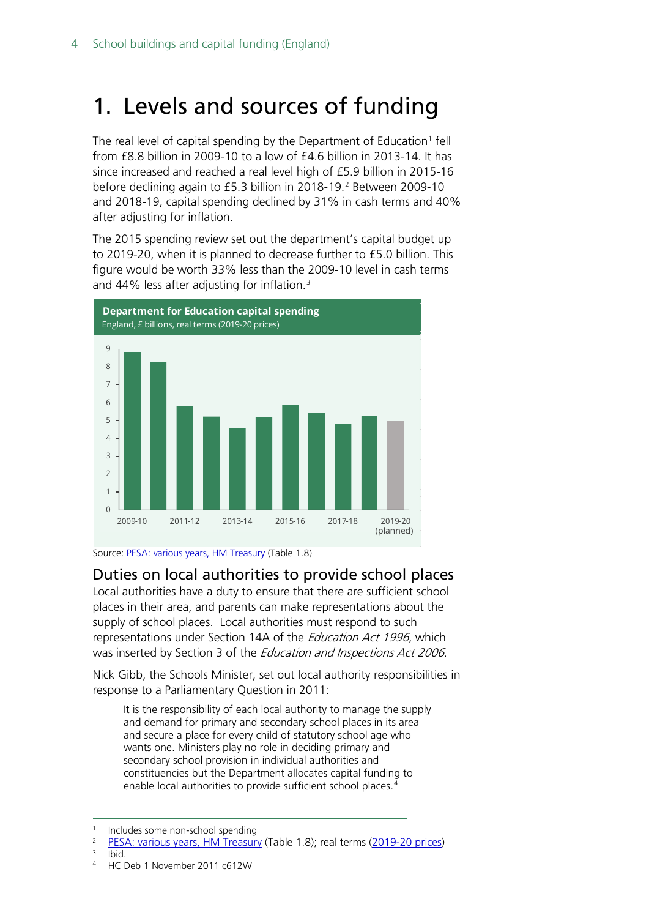# <span id="page-3-0"></span>1. Levels and sources of funding

The real level of capital spending by the Department of Education<sup>[1](#page-3-2)</sup> fell from £8.8 billion in 2009-10 to a low of £4.6 billion in 2013-14. It has since increased and reached a real level high of £5.9 billion in 2015-16 before declining again to £5.3 billion in [2](#page-3-3)018-19.<sup>2</sup> Between 2009-10 and 2018-19, capital spending declined by 31% in cash terms and 40% after adjusting for inflation.

The 2015 spending review set out the department's capital budget up to 2019-20, when it is planned to decrease further to £5.0 billion. This figure would be worth 33% less than the 2009-10 level in cash terms and 44% less after adjusting for inflation.[3](#page-3-4)





### <span id="page-3-1"></span>Duties on local authorities to provide school places

Local authorities have a duty to ensure that there are sufficient school places in their area, and parents can make representations about the supply of school places. Local authorities must respond to such representations under Section 14A of the *Education Act 1996*, which was inserted by Section 3 of the *Education and Inspections Act 2006*.

Nick Gibb, the Schools Minister, set out local authority responsibilities in response to a Parliamentary Question in 2011:

It is the responsibility of each local authority to manage the supply and demand for primary and secondary school places in its area and secure a place for every child of statutory school age who wants one. Ministers play no role in deciding primary and secondary school provision in individual authorities and constituencies but the Department allocates capital funding to enable local authorities to provide sufficient school places.<sup>[4](#page-3-5)</sup>

- <span id="page-3-5"></span><span id="page-3-4"></span> $3$  Ibid.
- <sup>4</sup> HC Deb 1 November 2011 c612W

<span id="page-3-2"></span> <sup>1</sup> Includes some non-school spending

<span id="page-3-3"></span> $\frac{2}{3}$  [PESA: various years, HM Treasury](https://www.gov.uk/government/collections/public-expenditure-statistical-analyses-pesa) (Table 1.8); real terms [\(2019-20 prices\)](https://www.gov.uk/government/statistics/gdp-deflators-at-market-prices-and-money-gdp-june-2019-quarterly-national-accounts)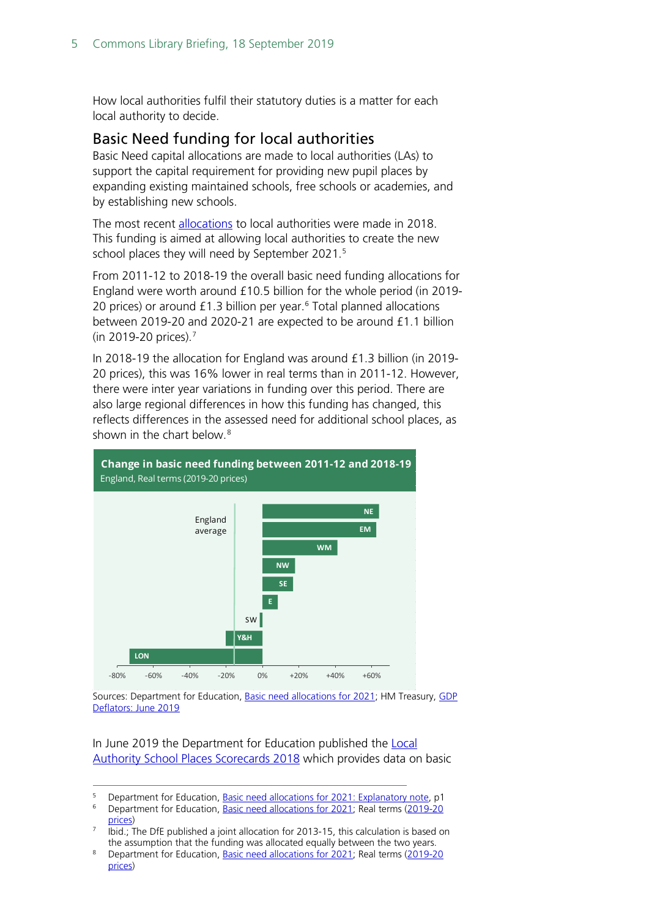How local authorities fulfil their statutory duties is a matter for each local authority to decide.

#### <span id="page-4-0"></span>Basic Need funding for local authorities

Basic Need capital allocations are made to local authorities (LAs) to support the capital requirement for providing new pupil places by expanding existing maintained schools, free schools or academies, and by establishing new schools.

The most recent [allocations](https://www.gov.uk/government/publications/basic-need-allocations) to local authorities were made in 2018. This funding is aimed at allowing local authorities to create the new school places they will need by September 2021. [5](#page-4-1)

From 2011-12 to 2018-19 the overall basic need funding allocations for England were worth around £10.5 billion for the whole period (in 2019- 20 prices) or around  $£1.3$  billion per year.<sup>[6](#page-4-2)</sup> Total planned allocations between 2019-20 and 2020-21 are expected to be around £1.1 billion (in 2019-20 prices).[7](#page-4-3)

In 2018-19 the allocation for England was around £1.3 billion (in 2019- 20 prices), this was 16% lower in real terms than in 2011-12. However, there were inter year variations in funding over this period. There are also large regional differences in how this funding has changed, this reflects differences in the assessed need for additional school places, as shown in the chart below.<sup>[8](#page-4-4)</sup>



Sources: Department for Education[, Basic need allocations for 2021;](https://www.gov.uk/government/publications/basic-need-allocations) HM Treasury, GDP [Deflators: June 2019](https://www.gov.uk/government/statistics/gdp-deflators-at-market-prices-and-money-gdp-june-2019-quarterly-national-accounts)

#### In June 2019 the Department for Education published the **Local** [Authority School Places Scorecards 2018](https://www.gov.uk/government/statistics/local-authority-school-places-scorecards-2018) which provides data on basic

<span id="page-4-2"></span><span id="page-4-1"></span><sup>&</sup>lt;sup>5</sup> Department for Education, <u>Basic need allocations for 2021: Explanatory note</u>, p1<br><sup>6</sup> Department for Education, Basic need allocations for 2021: Real terms (2019-20)

Department for Education, [Basic need allocations for 2021;](https://www.gov.uk/government/publications/basic-need-allocations) Real terms (2019-20 [prices\)](https://www.gov.uk/government/statistics/gdp-deflators-at-market-prices-and-money-gdp-june-2019-quarterly-national-accounts)

<span id="page-4-3"></span>Ibid.; The DfE published a joint allocation for 2013-15, this calculation is based on the assumption that the funding was allocated equally between the two years.

<span id="page-4-4"></span><sup>&</sup>lt;sup>8</sup> Department for Education, [Basic need allocations for 2021;](https://www.gov.uk/government/publications/basic-need-allocations) Real terms (2019-20 [prices\)](https://www.gov.uk/government/statistics/gdp-deflators-at-market-prices-and-money-gdp-june-2019-quarterly-national-accounts)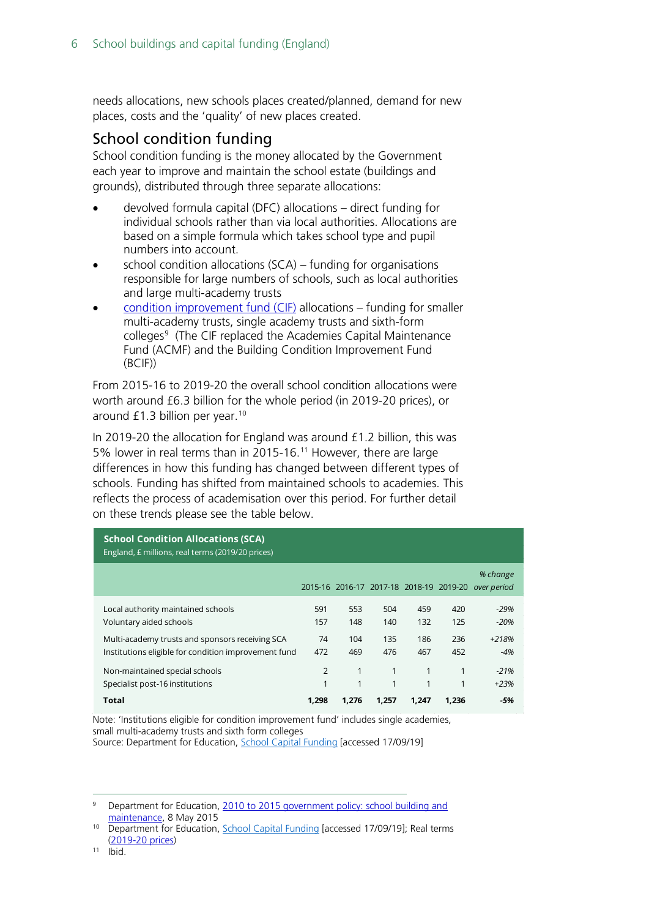needs allocations, new schools places created/planned, demand for new places, costs and the 'quality' of new places created.

### <span id="page-5-0"></span>School condition funding

School condition funding is the money allocated by the Government each year to improve and maintain the school estate (buildings and grounds), distributed through three separate allocations:

- devolved formula capital (DFC) allocations direct funding for individual schools rather than via local authorities. Allocations are based on a simple formula which takes school type and pupil numbers into account.
- school condition allocations  $(SCA)$  funding for organisations responsible for large numbers of schools, such as local authorities and large multi-academy trusts
- [condition improvement fund \(CIF\)](https://www.gov.uk/guidance/condition-improvement-fund) allocations funding for smaller multi-academy trusts, single academy trusts and sixth-form colleges[9](#page-5-1) (The CIF replaced the Academies Capital Maintenance Fund (ACMF) and the Building Condition Improvement Fund (BCIF))

From 2015-16 to 2019-20 the overall school condition allocations were worth around £6.3 billion for the whole period (in 2019-20 prices), or around  $£1.3$  billion per year.<sup>[10](#page-5-2)</sup>

In 2019-20 the allocation for England was around £1.2 billion, this was 5% lower in real terms than in 2015-16.<sup>[11](#page-5-3)</sup> However, there are large differences in how this funding has changed between different types of schools. Funding has shifted from maintained schools to academies. This reflects the process of academisation over this period. For further detail on these trends please see the table below.

| <b>School Condition Allocations (SCA)</b><br>England, £ millions, real terms (2019/20 prices)           |                              |                                         |                            |                 |            |                         |  |  |  |
|---------------------------------------------------------------------------------------------------------|------------------------------|-----------------------------------------|----------------------------|-----------------|------------|-------------------------|--|--|--|
|                                                                                                         |                              | 2015-16 2016-17 2017-18 2018-19 2019-20 |                            |                 |            | % change<br>over period |  |  |  |
| Local authority maintained schools<br>Voluntary aided schools                                           | 591<br>157                   | 553<br>148                              | 504<br>140                 | 459<br>132      | 420<br>125 | $-29%$<br>$-20%$        |  |  |  |
| Multi-academy trusts and sponsors receiving SCA<br>Institutions eligible for condition improvement fund | 74<br>472                    | 104<br>469                              | 135<br>476                 | 186<br>467      | 236<br>452 | $+218%$<br>$-4%$        |  |  |  |
| Non-maintained special schools<br>Specialist post-16 institutions<br>Total                              | $\overline{2}$<br>1<br>1.298 | 1<br>1<br>1.276                         | 1<br>$\mathbf{1}$<br>1.257 | 1<br>1<br>1.247 | 1<br>1.236 | $-21%$<br>$+23%$<br>-5% |  |  |  |

Note: 'Institutions eligible for condition improvement fund' includes single academies, small multi-academy trusts and sixth form colleges Source: Department for Education, [School Capital Funding](https://www.gov.uk/guidance/school-capital-funding) [accessed 17/09/19]

<span id="page-5-1"></span> 9 Department for Education, [2010 to 2015 government policy: school building and](https://www.gov.uk/government/publications/2010-to-2015-government-policy-school-building-and-maintenance/2010-to-2015-government-policy-school-building-and-maintenance)  [maintenance,](https://www.gov.uk/government/publications/2010-to-2015-government-policy-school-building-and-maintenance/2010-to-2015-government-policy-school-building-and-maintenance) 8 May 2015

<span id="page-5-3"></span><span id="page-5-2"></span><sup>&</sup>lt;sup>10</sup> Department for Education, [School Capital Funding](https://www.gov.uk/guidance/school-capital-funding) [accessed 17/09/19]; Real terms [\(2019-20 prices\)](https://www.gov.uk/government/statistics/gdp-deflators-at-market-prices-and-money-gdp-june-2019-quarterly-national-accounts)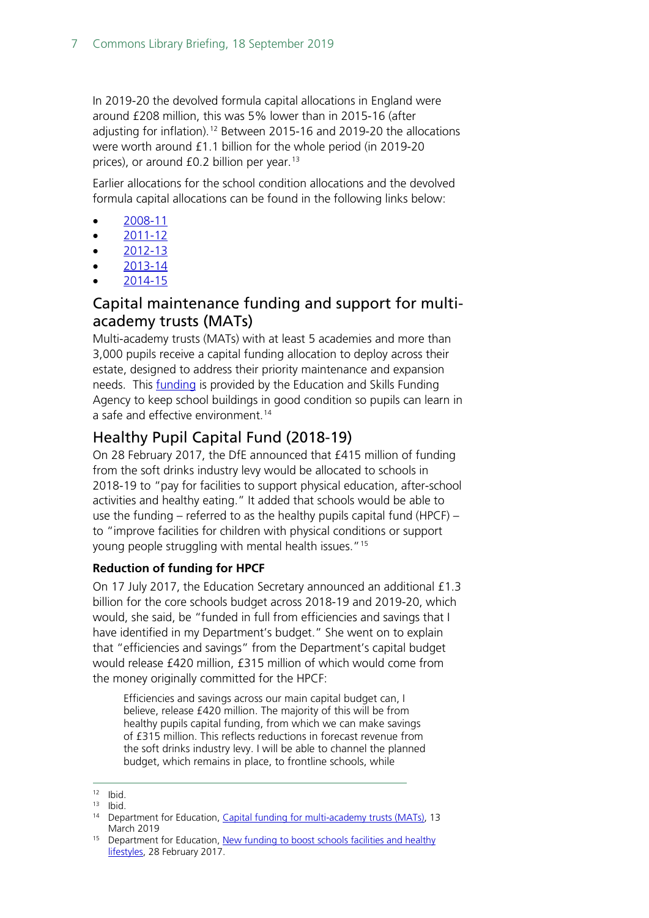In 2019-20 the devolved formula capital allocations in England were around £208 million, this was 5% lower than in 2015-16 (after adjusting for inflation).<sup>[12](#page-6-2)</sup> Between 2015-16 and 2019-20 the allocations were worth around £1.1 billion for the whole period (in 2019-20 prices), or around  $f(0.2)$  billion per year.<sup>[13](#page-6-3)</sup>

Earlier allocations for the school condition allocations and the devolved formula capital allocations can be found in the following links below:

- [2008-11](http://webarchive.nationalarchives.gov.uk/20100202114138/http:/www.teachernet.gov.uk/_doc/12167/Surrey_936_0409b.PDF)
- $\bullet$  [2011-12](http://webarchive.nationalarchives.gov.uk/20130123124929/http:/media.education.gov.uk/assets/files/xls/a/2011%2012%20allocations%20to%20local%20authorities.xls)
- $\bullet$  [2012-13](http://webarchive.nationalarchives.gov.uk/20130123124929/http:/media.education.gov.uk/assets/files/xls/2/2012%2013%20capital%20allocations%20summary%20revised%20july%202012.xls)
- [2013-14](file:///C:%5CUsers%5Cboltonpd%5CAppData%5CLocal%5CMicrosoft%5CWindows%5CTemporary%20Internet%20Files%5CContent.Outlook%5CF5L5MJXN%5C14%20http:%5Cwebarchive.nationalarchives.gov.uk%5C20130123124929%5Chttp:%5Cmedia.education.gov.uk%5Cassets%5Cfiles%5Cxls%5Cf%5Cfinal%20capital%20allocations%20spreadsheet-dfc%20maintenance%202013-14-basic%20need%202013-15_001.xls)
- [2014-15](http://webarchive.nationalarchives.gov.uk/20140203092003/https:/www.gov.uk/government/publications/capital-allocations)

### <span id="page-6-0"></span>Capital maintenance funding and support for multiacademy trusts (MATs)

Multi-academy trusts (MATs) with at least 5 academies and more than 3,000 pupils receive a capital funding allocation to deploy across their estate, designed to address their priority maintenance and expansion needs. This **funding** is provided by the Education and Skills Funding Agency to keep school buildings in good condition so pupils can learn in a safe and effective environment. [14](#page-6-4)

### <span id="page-6-1"></span>Healthy Pupil Capital Fund (2018-19)

On 28 February 2017, the DfE announced that £415 million of funding from the soft drinks industry levy would be allocated to schools in 2018-19 to "pay for facilities to support physical education, after-school activities and healthy eating." It added that schools would be able to use the funding – referred to as the healthy pupils capital fund (HPCF) – to "improve facilities for children with physical conditions or support young people struggling with mental health issues."[15](#page-6-5)

#### **Reduction of funding for HPCF**

On 17 July 2017, the Education Secretary announced an additional £1.3 billion for the core schools budget across 2018-19 and 2019-20, which would, she said, be "funded in full from efficiencies and savings that I have identified in my Department's budget." She went on to explain that "efficiencies and savings" from the Department's capital budget would release £420 million, £315 million of which would come from the money originally committed for the HPCF:

Efficiencies and savings across our main capital budget can, I believe, release £420 million. The majority of this will be from healthy pupils capital funding, from which we can make savings of £315 million. This reflects reductions in forecast revenue from the soft drinks industry levy. I will be able to channel the planned budget, which remains in place, to frontline schools, while

<span id="page-6-2"></span> $12$  Ibid.

<span id="page-6-3"></span> $13$  Ibid.

<span id="page-6-4"></span><sup>&</sup>lt;sup>14</sup> Department for Education, *Capital funding for multi-academy trusts (MATs)*, 13 March 2019

<span id="page-6-5"></span><sup>&</sup>lt;sup>15</sup> Department for Education, New funding to boost schools facilities and healthy [lifestyles,](https://www.gov.uk/government/news/new-funding-to-boost-schools-facilities-and-healthy-lifestyles) 28 February 2017.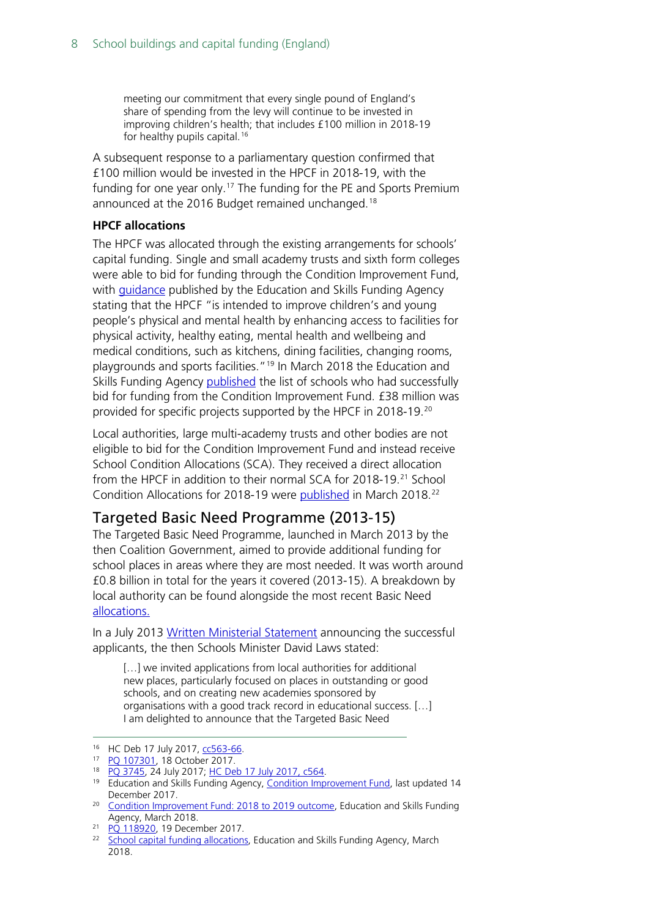meeting our commitment that every single pound of England's share of spending from the levy will continue to be invested in improving children's health; that includes £100 million in 2018-19 for healthy pupils capital.<sup>[16](#page-7-1)</sup>

A [subsequent](http://www.parliament.uk/written-questions-answers-statements/written-question/commons/2017-07-18/5924) response to a parliamentary question confirmed that £100 million would be invested in the HPCF in 2018-19, with the funding for one year only.<sup>[17](#page-7-2)</sup> The funding for the PE and Sports Premium announced at the 2016 Budget remained unchanged.<sup>[18](#page-7-3)</sup>

#### **HPCF allocations**

The HPCF was allocated through the existing arrangements for schools' capital funding. Single and small academy trusts and sixth form colleges were able to bid for funding through the Condition Improvement Fund, with [guidance](https://www.gov.uk/guidance/condition-improvement-fund#cif-applications-for-2018-to-2019) published by the Education and Skills Funding Agency stating that the HPCF "is intended to improve children's and young people's physical and mental health by enhancing access to facilities for physical activity, healthy eating, mental health and wellbeing and medical conditions, such as kitchens, dining facilities, changing rooms, playgrounds and sports facilities."<sup>[19](#page-7-4)</sup> In March 2018 the Education and Skills Funding Agency [published](https://www.gov.uk/government/publications/condition-improvement-fund-2018-to-2019-outcome) the list of schools who had successfully bid for funding from the Condition Improvement Fund. £38 million was provided for specific projects supported by the HPCF in 2018-19.[20](#page-7-5)

Local authorities, large multi-academy trusts and other bodies are not eligible to bid for the Condition Improvement Fund and instead receive School Condition Allocations (SCA). They received a direct allocation from the HPCF in addition to their normal SCA for 2018-19.<sup>21</sup> School Condition Allocations for 2018-19 were [published](https://www.gov.uk/government/publications/capital-allocations) in March 2018.[22](#page-7-7)

### <span id="page-7-0"></span>Targeted Basic Need Programme (2013-15)

The Targeted Basic Need Programme, launched in March 2013 by the then Coalition Government, aimed to provide additional funding for school places in areas where they are most needed. It was worth around £0.8 billion in total for the years it covered (2013-15). A breakdown by local authority can be found alongside the most recent Basic Need [allocations.](https://www.gov.uk/government/publications/basic-need-allocations-2015-to-2018)

In a July 2013 [Written Ministerial Statement](http://www.publications.parliament.uk/pa/cm201314/cmhansrd/cm130718/wmstext/130718m0001.htm#13071861000003) announcing the successful applicants, the then Schools Minister David Laws stated:

[...] we invited applications from local authorities for additional new places, particularly focused on places in outstanding or good schools, and on creating new academies sponsored by organisations with a good track record in educational success. […] I am delighted to announce that the Targeted Basic Need

<span id="page-7-1"></span><sup>&</sup>lt;sup>16</sup> HC Deb 17 July 2017, [cc563-66.](http://hansard.parliament.uk/commons/2017-07-17/debates/5177EE31-DB66-4CCE-98FC-04A0B8183C8D/SchoolsUpdate)

<span id="page-7-2"></span><sup>17</sup> [PQ 107301,](http://www.parliament.uk/written-questions-answers-statements/written-question/commons/2017-10-11/107301) 18 October 2017.

<span id="page-7-3"></span><sup>18</sup> [PQ 3745,](http://www.parliament.uk/written-questions-answers-statements/written-question/commons/2017-07-10/3745) 24 July 2017; [HC Deb 17 July 2017, c564.](http://hansard.parliament.uk/commons/2017-07-17/debates/5177EE31-DB66-4CCE-98FC-04A0B8183C8D/SchoolsUpdate#contribution-0DAFA6D8-0C2E-40B4-AA90-B117C50939E1)

<span id="page-7-4"></span><sup>&</sup>lt;sup>19</sup> Education and Skills Funding Agency, [Condition Improvement Fund,](https://www.gov.uk/guidance/condition-improvement-fund#cif-applications-for-2018-to-2019) last updated 14 December 2017.

<span id="page-7-5"></span><sup>&</sup>lt;sup>20</sup> [Condition Improvement Fund: 2018 to 2019 outcome,](https://www.gov.uk/government/publications/condition-improvement-fund-2018-to-2019-outcome) Education and Skills Funding Agency, March 2018.

<span id="page-7-6"></span><sup>&</sup>lt;sup>21</sup> PO 118920, 19 December 2017.

<span id="page-7-7"></span><sup>&</sup>lt;sup>22</sup> [School capital funding allocations,](https://webarchive.nationalarchives.gov.uk/20190302155604/https:/www.gov.uk/government/publications/capital-allocations) Education and Skills Funding Agency, March 2018.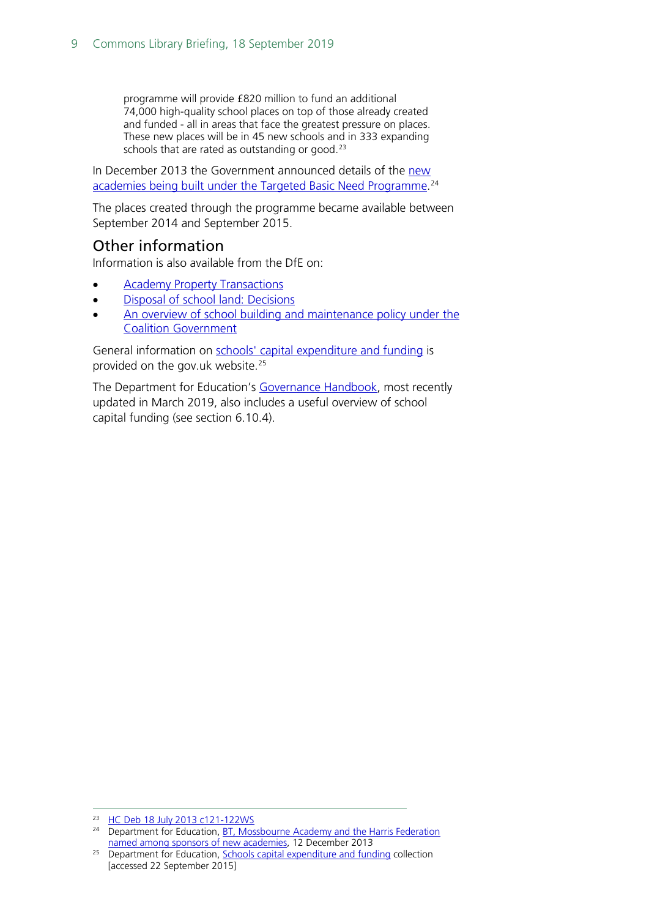programme will provide £820 million to fund an additional 74,000 high-quality school places on top of those already created and funded - all in areas that face the greatest pressure on places. These new places will be in 45 new schools and in 333 expanding schools that are rated as outstanding or good.<sup>[23](#page-8-1)</sup>

In December 2013 the Government announced details of the new [academies being built under the Targeted Basic Need Programme.](https://www.gov.uk/government/news/bt-mossbourne-academy-and-the-harris-federation-named-among-sponsors-of-new-academies) [24](#page-8-2)

The places created through the programme became available between September 2014 and September 2015.

#### <span id="page-8-0"></span>Other information

Information is also available from the DfE on:

- **[Academy Property Transactions](https://www.gov.uk/government/publications/academy-property-transactions)**
- [Disposal of school land: Decisions](https://www.gov.uk/government/publications/school-land-decisions-about-disposals)
- [An overview of school building and maintenance policy under the](https://www.gov.uk/government/publications/2010-to-2015-government-policy-school-building-and-maintenance/2010-to-2015-government-policy-school-building-and-maintenance)  [Coalition Government](https://www.gov.uk/government/publications/2010-to-2015-government-policy-school-building-and-maintenance/2010-to-2015-government-policy-school-building-and-maintenance)

General information on schools' [capital expenditure and funding](https://www.gov.uk/government/collections/school-capital-expenditure-and-funding) is provided on the gov.uk website.[25](#page-8-3)

The Department for Education's [Governance](https://www.gov.uk/government/publications/governance-handbook) Handbook, most recently updated in March 2019, also includes a useful overview of school capital funding (see section 6.10.4).

<span id="page-8-1"></span><sup>23</sup> [HC Deb 18 July 2013 c121-122WS](http://www.publications.parliament.uk/pa/cm201314/cmhansrd/cm130718/wmstext/130718m0001.htm#13071861000003)

<span id="page-8-2"></span><sup>&</sup>lt;sup>24</sup> Department for Education, **BT**, Mossbourne Academy and the Harris Federation [named among sponsors of new academies,](https://www.gov.uk/government/news/bt-mossbourne-academy-and-the-harris-federation-named-among-sponsors-of-new-academies) 12 December 2013

<span id="page-8-3"></span> $25$  Department for Education, [Schools capital expenditure and funding](https://www.gov.uk/government/collections/school-capital-expenditure-and-funding) collection [accessed 22 September 2015]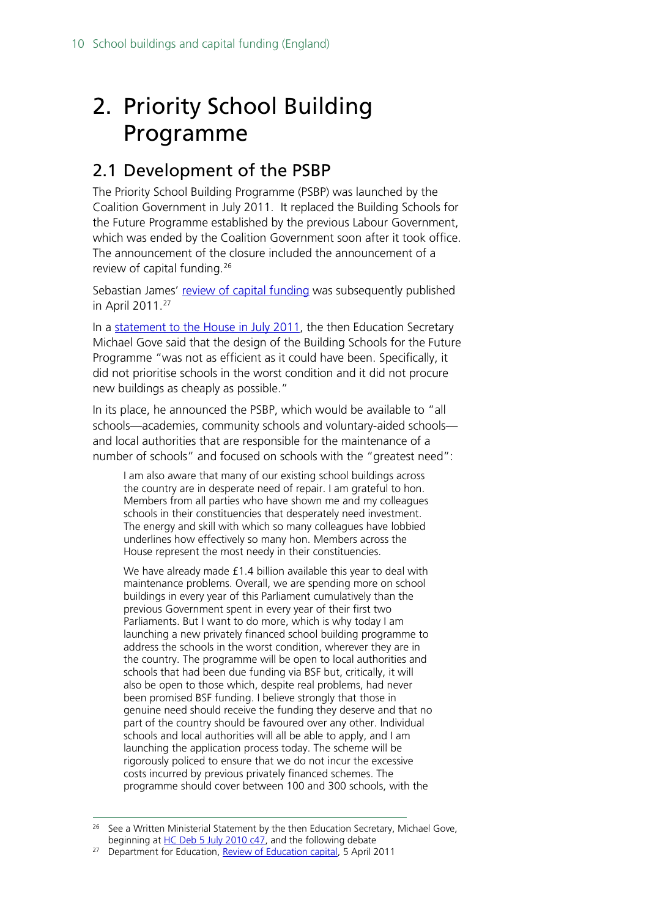# <span id="page-9-0"></span>2. Priority School Building Programme

# <span id="page-9-1"></span>2.1 Development of the PSBP

The Priority School Building Programme (PSBP) was launched by the Coalition Government in July 2011. It replaced the Building Schools for the Future Programme established by the previous Labour Government, which was ended by the Coalition Government soon after it took office. The announcement of the closure included the announcement of a review of capital funding. [26](#page-9-2)

Sebastian James' [review of capital funding](https://www.gov.uk/government/publications/review-of-education-capital) was subsequently published in April 2011.[27](#page-9-3)

In a [statement to the House in July 2011,](http://www.publications.parliament.uk/pa/cm201011/cmhansrd/cm110719/debtext/110719-0001.htm#11071988000003) the then Education Secretary Michael Gove said that the design of the Building Schools for the Future Programme "was not as efficient as it could have been. Specifically, it did not prioritise schools in the worst condition and it did not procure new buildings as cheaply as possible."

In its place, he announced the PSBP, which would be available to "all schools—academies, community schools and voluntary-aided schools and local authorities that are responsible for the maintenance of a number of schools" and focused on schools with the "greatest need":

I am also aware that many of our existing school buildings across the country are in desperate need of repair. I am grateful to hon. Members from all parties who have shown me and my colleagues schools in their constituencies that desperately need investment. The energy and skill with which so many colleagues have lobbied underlines how effectively so many hon. Members across the House represent the most needy in their constituencies.

We have already made £1.4 billion available this year to deal with maintenance problems. Overall, we are spending more on school buildings in every year of this Parliament cumulatively than the previous Government spent in every year of their first two Parliaments. But I want to do more, which is why today I am launching a new privately financed school building programme to address the schools in the worst condition, wherever they are in the country. The programme will be open to local authorities and schools that had been due funding via BSF but, critically, it will also be open to those which, despite real problems, had never been promised BSF funding. I believe strongly that those in genuine need should receive the funding they deserve and that no part of the country should be favoured over any other. Individual schools and local authorities will all be able to apply, and I am launching the application process today. The scheme will be rigorously policed to ensure that we do not incur the excessive costs incurred by previous privately financed schemes. The programme should cover between 100 and 300 schools, with the

<span id="page-9-2"></span><sup>&</sup>lt;sup>26</sup> See a Written Ministerial Statement by the then Education Secretary, Michael Gove, beginning at [HC Deb 5 July 2010 c47,](http://www.publications.parliament.uk/pa/cm201011/cmhansrd/cm100705/debtext/100705-0002.htm#10070511000002) and the following debate

<span id="page-9-3"></span><sup>&</sup>lt;sup>27</sup> Department for Education, [Review of Education capital,](https://www.gov.uk/government/publications/review-of-education-capital) 5 April 2011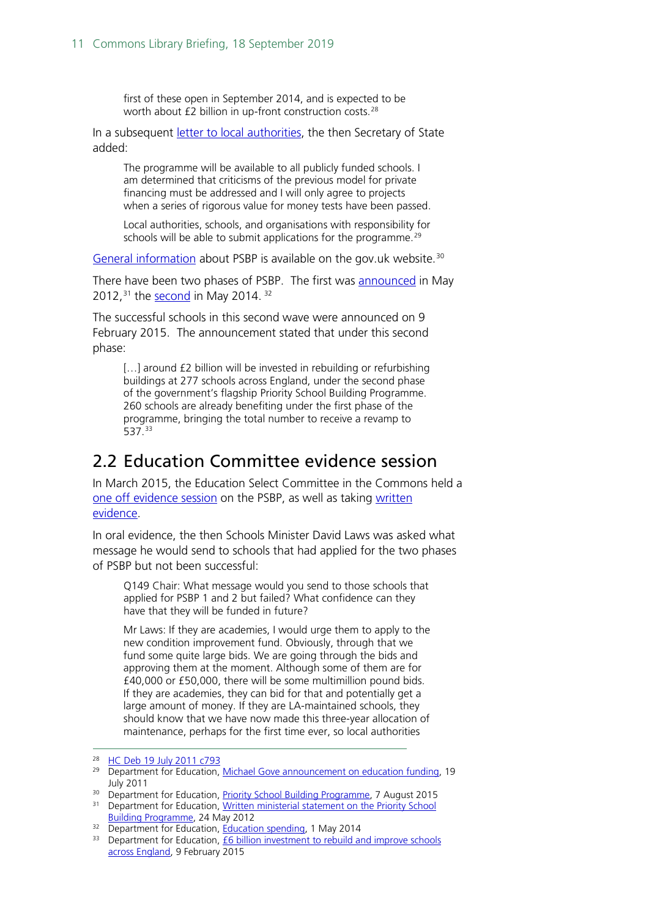first of these open in September 2014, and is expected to be worth about £2 billion in up-front construction costs.<sup>[28](#page-10-1)</sup>

In a subsequent [letter to local authorities,](http://www.education.gov.uk/inthenews/inthenews/a00192488/michael-gove-announcement-on-education-funding) the then Secretary of State added:

The programme will be available to all publicly funded schools. I am determined that criticisms of the previous model for private financing must be addressed and I will only agree to projects when a series of rigorous value for money tests have been passed.

Local authorities, schools, and organisations with responsibility for schools will be able to submit applications for the programme.<sup>[29](#page-10-2)</sup>

[General information](https://www.gov.uk/government/publications/psbp-overview/priority-school-building-programme-overview) about PSBP is available on the gov.uk website.<sup>30</sup>

There have been two phases of PSBP. The first was [announced](https://www.gov.uk/government/news/written-ministerial-statement-on-the-priority-school-building-programme) in May 2012,  $31$  the [second](https://www.gov.uk/government/speeches/education-spending) in May 2014.  $32$ 

The successful schools in this second wave were announced on 9 February 2015. The announcement stated that under this second phase:

[...] around £2 billion will be invested in rebuilding or refurbishing buildings at 277 schools across England, under the second phase of the government's flagship Priority School Building Programme. 260 schools are already benefiting under the first phase of the programme, bringing the total number to receive a revamp to 537.[33](#page-10-6)

## <span id="page-10-0"></span>2.2 Education Committee evidence session

In March 2015, the Education Select Committee in the Commons held a [one off evidence session](http://data.parliament.uk/writtenevidence/committeeevidence.svc/evidencedocument/education-committee/priority-schools-building-programme/oral/18617.pdf) on the PSBP, as well as taking written [evidence.](http://www.parliament.uk/business/committees/committees-a-z/commons-select/education-committee/inquiries/parliament-2010/priority-schools-building-programme/?type=Written#pnlPublicationFilter)

In oral evidence, the then Schools Minister David Laws was asked what message he would send to schools that had applied for the two phases of PSBP but not been successful:

Q149 Chair: What message would you send to those schools that applied for PSBP 1 and 2 but failed? What confidence can they have that they will be funded in future?

Mr Laws: If they are academies, I would urge them to apply to the new condition improvement fund. Obviously, through that we fund some quite large bids. We are going through the bids and approving them at the moment. Although some of them are for £40,000 or £50,000, there will be some multimillion pound bids. If they are academies, they can bid for that and potentially get a large amount of money. If they are LA-maintained schools, they should know that we have now made this three-year allocation of maintenance, perhaps for the first time ever, so local authorities

<span id="page-10-3"></span><sup>30</sup> Department for Education, [Priority School Building Programme,](https://www.gov.uk/government/publications/psbp-overview/priority-school-building-programme-overview) 7 August 2015

<span id="page-10-1"></span><sup>28</sup> [HC Deb 19 July 2011 c793](http://www.publications.parliament.uk/pa/cm201011/cmhansrd/cm110719/debtext/110719-0001.htm#11071988000003)

<span id="page-10-2"></span><sup>&</sup>lt;sup>29</sup> Department for Education, [Michael Gove announcement on education funding,](https://www.gov.uk/government/news/michael-gove-announcement-on-education-funding) 19 July 2011

<span id="page-10-4"></span><sup>&</sup>lt;sup>31</sup> Department for Education, Written ministerial statement on the Priority School [Building Programme,](https://www.gov.uk/government/news/written-ministerial-statement-on-the-priority-school-building-programme) 24 May 2012

<span id="page-10-5"></span><sup>&</sup>lt;sup>32</sup> Department for Education, [Education spending,](https://www.gov.uk/government/speeches/education-spending) 1 May 2014

<span id="page-10-6"></span> $33$  Department for Education,  $\overline{66}$  billion investment to rebuild and improve schools [across England,](https://www.gov.uk/government/news/6-billion-investment-to-rebuild-and-improve-schools-across-england) 9 February 2015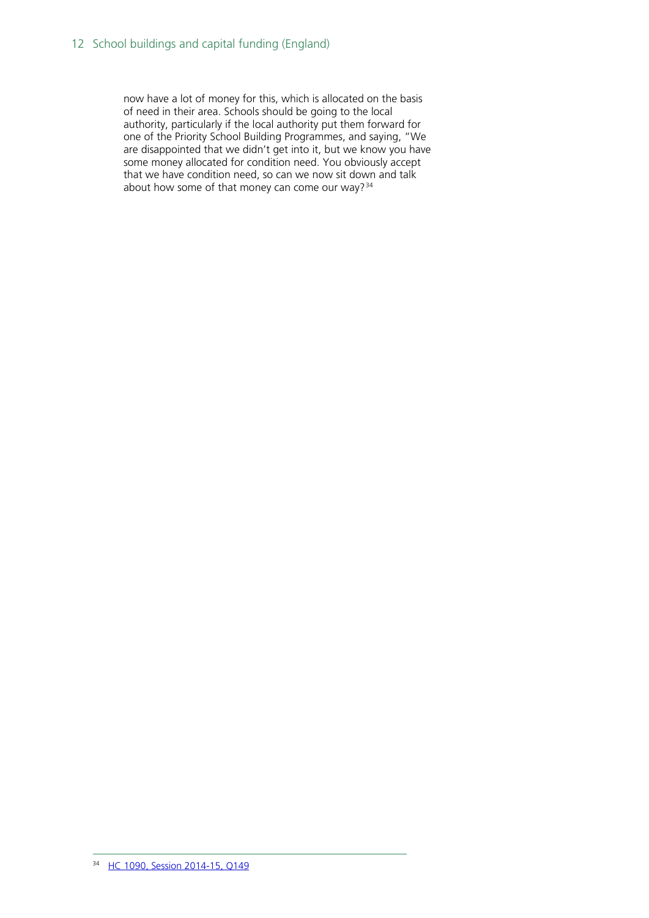<span id="page-11-0"></span>now have a lot of money for this, which is allocated on the basis of need in their area. Schools should be going to the local authority, particularly if the local authority put them forward for one of the Priority School Building Programmes, and saying, "We are disappointed that we didn't get into it, but we know you have some money allocated for condition need. You obviously accept that we have condition need, so can we now sit down and talk about how some of that money can come our way?<sup>[34](#page-11-0)</sup>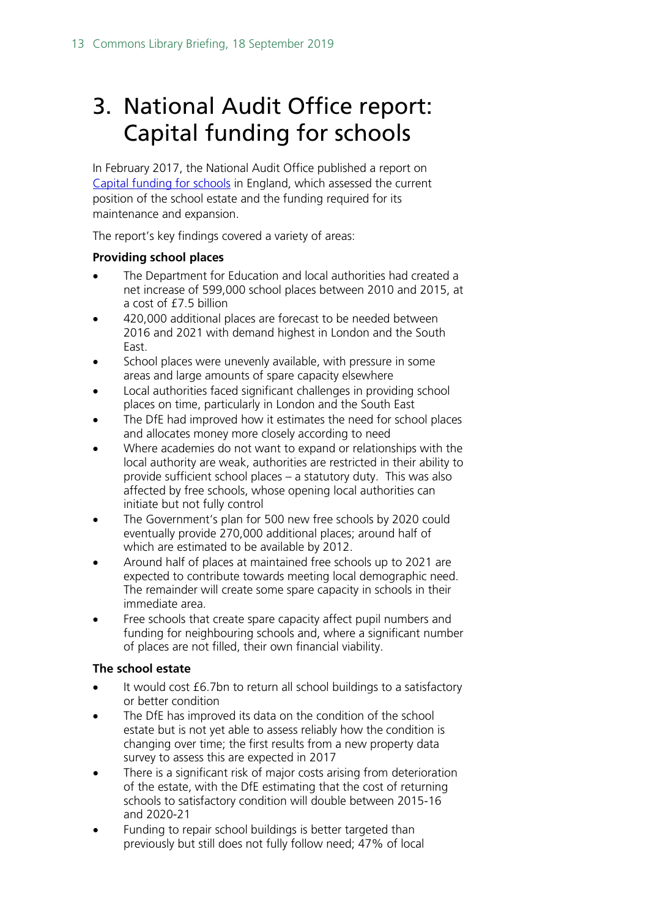# <span id="page-12-0"></span>3. National Audit Office report: Capital funding for schools

In February 2017, the National Audit Office published a report on [Capital funding for schools](https://www.nao.org.uk/press-release/capital-funding-for-schools/) in England, which assessed the current position of the school estate and the funding required for its maintenance and expansion.

The report's key findings covered a variety of areas:

#### **Providing school places**

- The Department for Education and local authorities had created a net increase of 599,000 school places between 2010 and 2015, at a cost of £7.5 billion
- 420,000 additional places are forecast to be needed between 2016 and 2021 with demand highest in London and the South East.
- School places were unevenly available, with pressure in some areas and large amounts of spare capacity elsewhere
- Local authorities faced significant challenges in providing school places on time, particularly in London and the South East
- The DfE had improved how it estimates the need for school places and allocates money more closely according to need
- Where academies do not want to expand or relationships with the local authority are weak, authorities are restricted in their ability to provide sufficient school places – a statutory duty. This was also affected by free schools, whose opening local authorities can initiate but not fully control
- The Government's plan for 500 new free schools by 2020 could eventually provide 270,000 additional places; around half of which are estimated to be available by 2012.
- Around half of places at maintained free schools up to 2021 are expected to contribute towards meeting local demographic need. The remainder will create some spare capacity in schools in their immediate area.
- Free schools that create spare capacity affect pupil numbers and funding for neighbouring schools and, where a significant number of places are not filled, their own financial viability.

#### **The school estate**

- It would cost £6.7bn to return all school buildings to a satisfactory or better condition
- The DfE has improved its data on the condition of the school estate but is not yet able to assess reliably how the condition is changing over time; the first results from a new property data survey to assess this are expected in 2017
- There is a significant risk of major costs arising from deterioration of the estate, with the DfE estimating that the cost of returning schools to satisfactory condition will double between 2015-16 and 2020-21
- Funding to repair school buildings is better targeted than previously but still does not fully follow need; 47% of local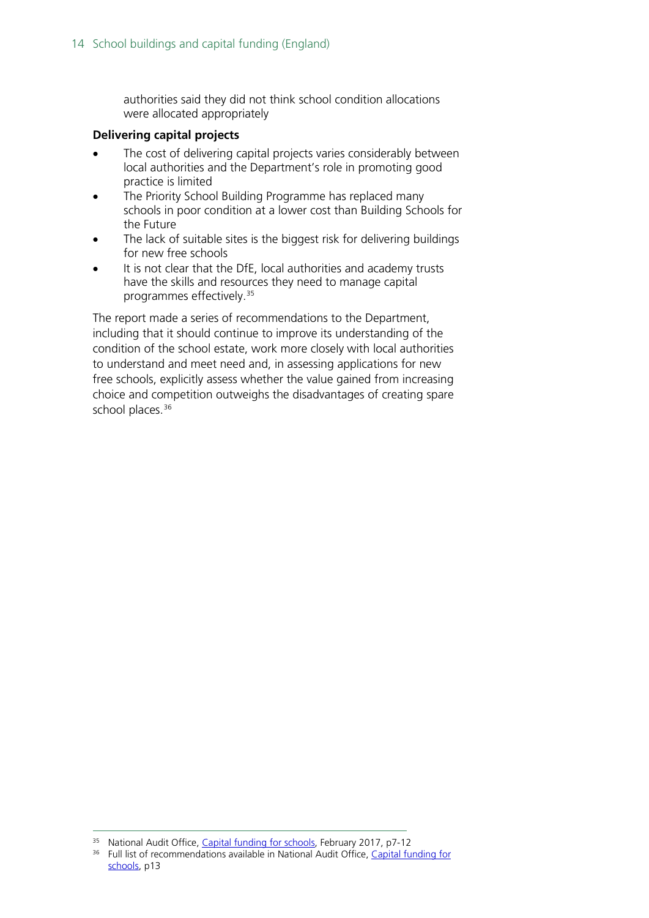authorities said they did not think school condition allocations were allocated appropriately

#### **Delivering capital projects**

- The cost of delivering capital projects varies considerably between local authorities and the Department's role in promoting good practice is limited
- The Priority School Building Programme has replaced many schools in poor condition at a lower cost than Building Schools for the Future
- The lack of suitable sites is the biggest risk for delivering buildings for new free schools
- It is not clear that the DfE, local authorities and academy trusts have the skills and resources they need to manage capital programmes effectively.[35](#page-13-0)

The report made a series of recommendations to the Department, including that it should continue to improve its understanding of the condition of the school estate, work more closely with local authorities to understand and meet need and, in assessing applications for new free schools, explicitly assess whether the value gained from increasing choice and competition outweighs the disadvantages of creating spare school places.<sup>[36](#page-13-1)</sup>

<sup>&</sup>lt;sup>35</sup> National Audit Office, [Capital funding for schools,](https://www.nao.org.uk/wp-content/uploads/2017/02/Capital-funding-for-schools.pdf) February 2017, p7-12

<span id="page-13-1"></span><span id="page-13-0"></span><sup>&</sup>lt;sup>36</sup> Full list of recommendations available in National Audit Office, Capital funding for [schools,](https://www.nao.org.uk/wp-content/uploads/2017/02/Capital-funding-for-schools.pdf) p13